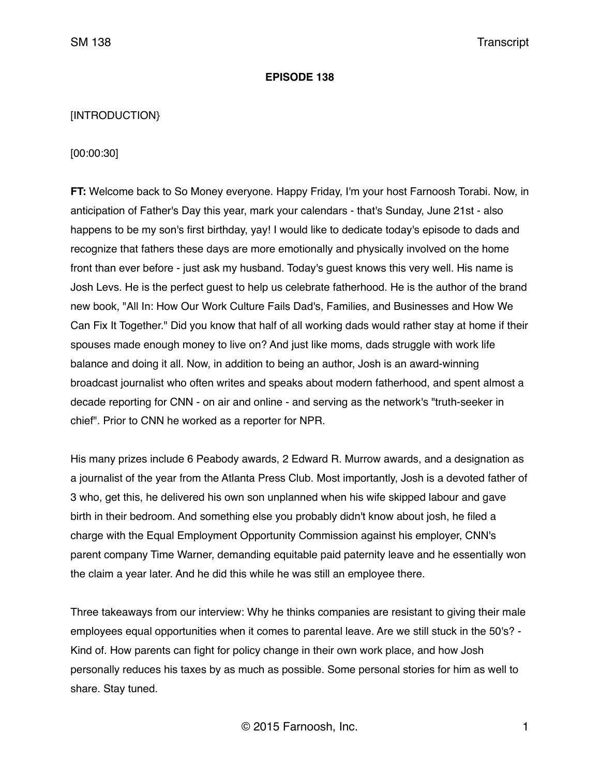### **EPISODE 138**

# [INTRODUCTION}

# [00:00:30]

**FT:** Welcome back to So Money everyone. Happy Friday, I'm your host Farnoosh Torabi. Now, in anticipation of Father's Day this year, mark your calendars - that's Sunday, June 21st - also happens to be my son's first birthday, yay! I would like to dedicate today's episode to dads and recognize that fathers these days are more emotionally and physically involved on the home front than ever before - just ask my husband. Today's guest knows this very well. His name is Josh Levs. He is the perfect guest to help us celebrate fatherhood. He is the author of the brand new book, "All In: How Our Work Culture Fails Dad's, Families, and Businesses and How We Can Fix It Together." Did you know that half of all working dads would rather stay at home if their spouses made enough money to live on? And just like moms, dads struggle with work life balance and doing it all. Now, in addition to being an author, Josh is an award-winning broadcast journalist who often writes and speaks about modern fatherhood, and spent almost a decade reporting for CNN - on air and online - and serving as the network's "truth-seeker in chief". Prior to CNN he worked as a reporter for NPR.

His many prizes include 6 Peabody awards, 2 Edward R. Murrow awards, and a designation as a journalist of the year from the Atlanta Press Club. Most importantly, Josh is a devoted father of 3 who, get this, he delivered his own son unplanned when his wife skipped labour and gave birth in their bedroom. And something else you probably didn't know about josh, he filed a charge with the Equal Employment Opportunity Commission against his employer, CNN's parent company Time Warner, demanding equitable paid paternity leave and he essentially won the claim a year later. And he did this while he was still an employee there.

Three takeaways from our interview: Why he thinks companies are resistant to giving their male employees equal opportunities when it comes to parental leave. Are we still stuck in the 50's? - Kind of. How parents can fight for policy change in their own work place, and how Josh personally reduces his taxes by as much as possible. Some personal stories for him as well to share. Stay tuned.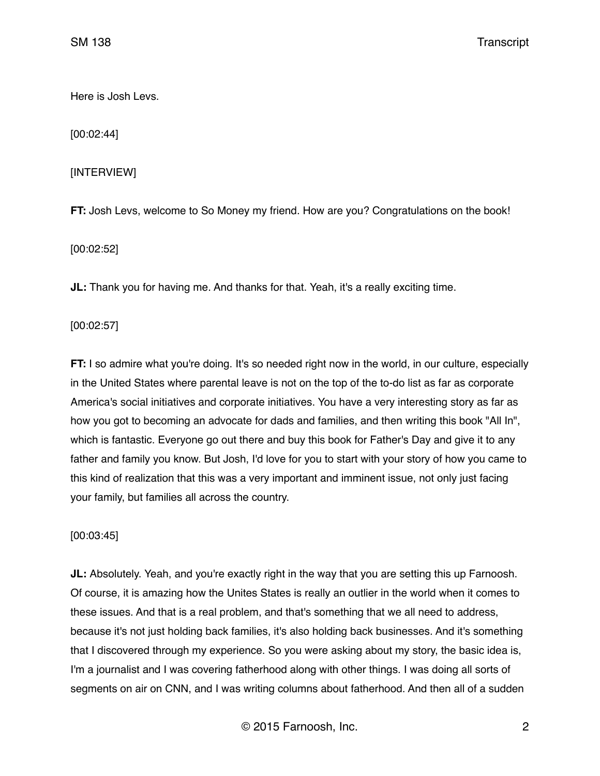Here is Josh Levs.

[00:02:44]

# [INTERVIEW]

**FT:** Josh Levs, welcome to So Money my friend. How are you? Congratulations on the book!

[00:02:52]

**JL:** Thank you for having me. And thanks for that. Yeah, it's a really exciting time.

[00:02:57]

**FT:** I so admire what you're doing. It's so needed right now in the world, in our culture, especially in the United States where parental leave is not on the top of the to-do list as far as corporate America's social initiatives and corporate initiatives. You have a very interesting story as far as how you got to becoming an advocate for dads and families, and then writing this book "All In", which is fantastic. Everyone go out there and buy this book for Father's Day and give it to any father and family you know. But Josh, I'd love for you to start with your story of how you came to this kind of realization that this was a very important and imminent issue, not only just facing your family, but families all across the country.

## [00:03:45]

**JL:** Absolutely. Yeah, and you're exactly right in the way that you are setting this up Farnoosh. Of course, it is amazing how the Unites States is really an outlier in the world when it comes to these issues. And that is a real problem, and that's something that we all need to address, because it's not just holding back families, it's also holding back businesses. And it's something that I discovered through my experience. So you were asking about my story, the basic idea is, I'm a journalist and I was covering fatherhood along with other things. I was doing all sorts of segments on air on CNN, and I was writing columns about fatherhood. And then all of a sudden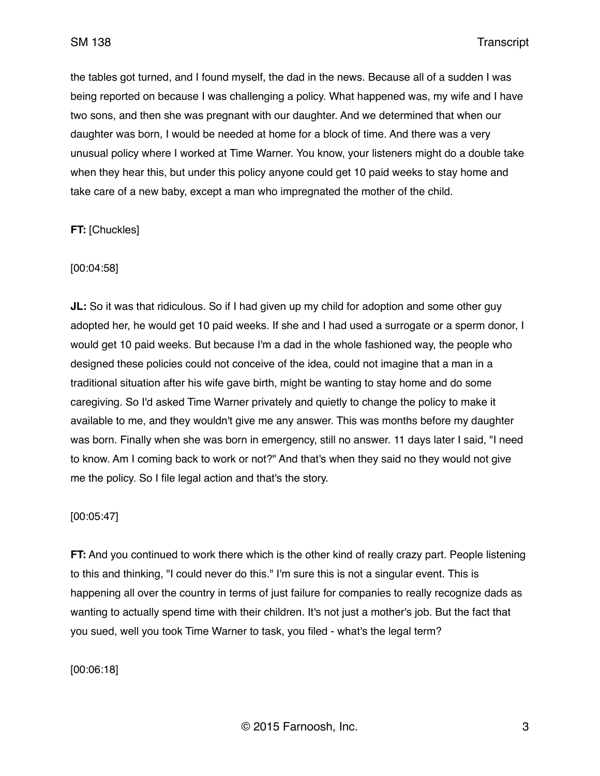the tables got turned, and I found myself, the dad in the news. Because all of a sudden I was being reported on because I was challenging a policy. What happened was, my wife and I have two sons, and then she was pregnant with our daughter. And we determined that when our daughter was born, I would be needed at home for a block of time. And there was a very unusual policy where I worked at Time Warner. You know, your listeners might do a double take when they hear this, but under this policy anyone could get 10 paid weeks to stay home and take care of a new baby, except a man who impregnated the mother of the child.

# **FT:** [Chuckles]

## [00:04:58]

**JL:** So it was that ridiculous. So if I had given up my child for adoption and some other guy adopted her, he would get 10 paid weeks. If she and I had used a surrogate or a sperm donor, I would get 10 paid weeks. But because I'm a dad in the whole fashioned way, the people who designed these policies could not conceive of the idea, could not imagine that a man in a traditional situation after his wife gave birth, might be wanting to stay home and do some caregiving. So I'd asked Time Warner privately and quietly to change the policy to make it available to me, and they wouldn't give me any answer. This was months before my daughter was born. Finally when she was born in emergency, still no answer. 11 days later I said, "I need to know. Am I coming back to work or not?" And that's when they said no they would not give me the policy. So I file legal action and that's the story.

## [00:05:47]

**FT:** And you continued to work there which is the other kind of really crazy part. People listening to this and thinking, "I could never do this." I'm sure this is not a singular event. This is happening all over the country in terms of just failure for companies to really recognize dads as wanting to actually spend time with their children. It's not just a mother's job. But the fact that you sued, well you took Time Warner to task, you filed - what's the legal term?

[00:06:18]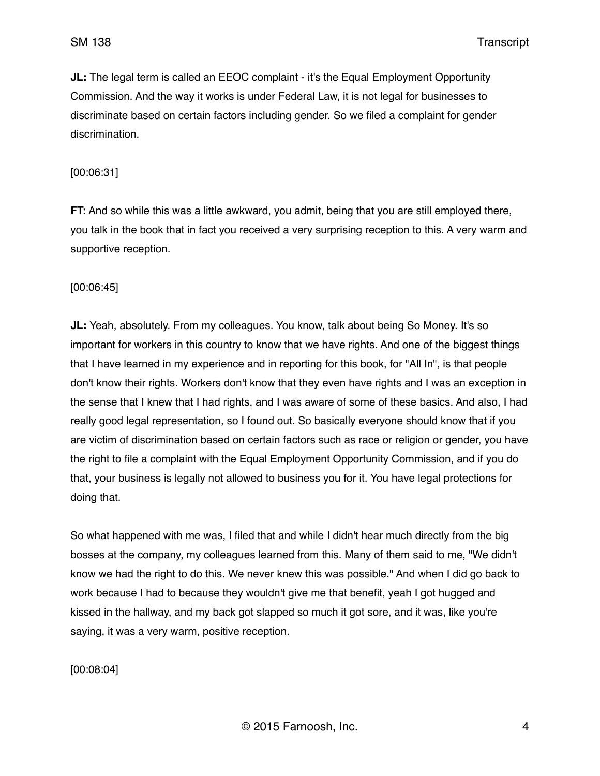**JL:** The legal term is called an EEOC complaint - it's the Equal Employment Opportunity Commission. And the way it works is under Federal Law, it is not legal for businesses to discriminate based on certain factors including gender. So we filed a complaint for gender discrimination.

### [00:06:31]

**FT:** And so while this was a little awkward, you admit, being that you are still employed there, you talk in the book that in fact you received a very surprising reception to this. A very warm and supportive reception.

[00:06:45]

**JL:** Yeah, absolutely. From my colleagues. You know, talk about being So Money. It's so important for workers in this country to know that we have rights. And one of the biggest things that I have learned in my experience and in reporting for this book, for "All In", is that people don't know their rights. Workers don't know that they even have rights and I was an exception in the sense that I knew that I had rights, and I was aware of some of these basics. And also, I had really good legal representation, so I found out. So basically everyone should know that if you are victim of discrimination based on certain factors such as race or religion or gender, you have the right to file a complaint with the Equal Employment Opportunity Commission, and if you do that, your business is legally not allowed to business you for it. You have legal protections for doing that.

So what happened with me was, I filed that and while I didn't hear much directly from the big bosses at the company, my colleagues learned from this. Many of them said to me, "We didn't know we had the right to do this. We never knew this was possible." And when I did go back to work because I had to because they wouldn't give me that benefit, yeah I got hugged and kissed in the hallway, and my back got slapped so much it got sore, and it was, like you're saying, it was a very warm, positive reception.

[00:08:04]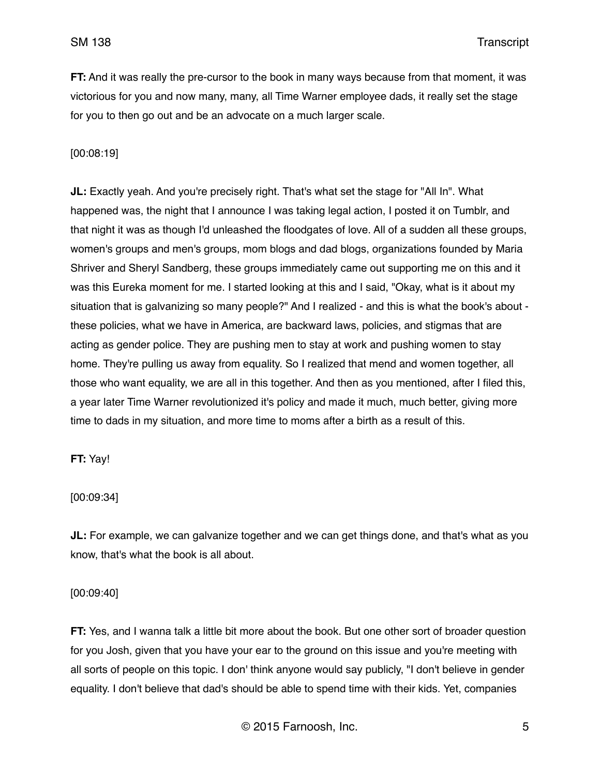**FT:** And it was really the pre-cursor to the book in many ways because from that moment, it was victorious for you and now many, many, all Time Warner employee dads, it really set the stage for you to then go out and be an advocate on a much larger scale.

### [00:08:19]

**JL:** Exactly yeah. And you're precisely right. That's what set the stage for "All In". What happened was, the night that I announce I was taking legal action, I posted it on Tumblr, and that night it was as though I'd unleashed the floodgates of love. All of a sudden all these groups, women's groups and men's groups, mom blogs and dad blogs, organizations founded by Maria Shriver and Sheryl Sandberg, these groups immediately came out supporting me on this and it was this Eureka moment for me. I started looking at this and I said, "Okay, what is it about my situation that is galvanizing so many people?" And I realized - and this is what the book's about these policies, what we have in America, are backward laws, policies, and stigmas that are acting as gender police. They are pushing men to stay at work and pushing women to stay home. They're pulling us away from equality. So I realized that mend and women together, all those who want equality, we are all in this together. And then as you mentioned, after I filed this, a year later Time Warner revolutionized it's policy and made it much, much better, giving more time to dads in my situation, and more time to moms after a birth as a result of this.

### **FT:** Yay!

#### [00:09:34]

**JL:** For example, we can galvanize together and we can get things done, and that's what as you know, that's what the book is all about.

#### [00:09:40]

**FT:** Yes, and I wanna talk a little bit more about the book. But one other sort of broader question for you Josh, given that you have your ear to the ground on this issue and you're meeting with all sorts of people on this topic. I don' think anyone would say publicly, "I don't believe in gender equality. I don't believe that dad's should be able to spend time with their kids. Yet, companies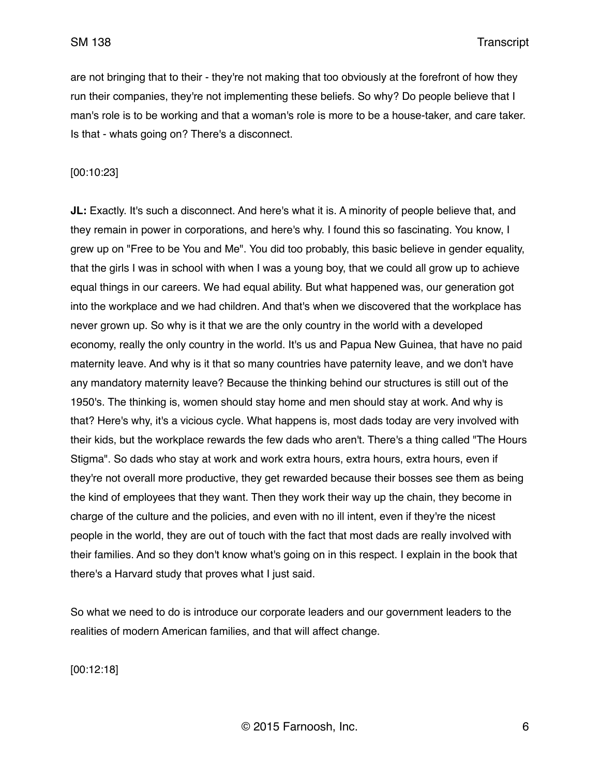are not bringing that to their - they're not making that too obviously at the forefront of how they run their companies, they're not implementing these beliefs. So why? Do people believe that I man's role is to be working and that a woman's role is more to be a house-taker, and care taker. Is that - whats going on? There's a disconnect.

### [00:10:23]

**JL:** Exactly. It's such a disconnect. And here's what it is. A minority of people believe that, and they remain in power in corporations, and here's why. I found this so fascinating. You know, I grew up on "Free to be You and Me". You did too probably, this basic believe in gender equality, that the girls I was in school with when I was a young boy, that we could all grow up to achieve equal things in our careers. We had equal ability. But what happened was, our generation got into the workplace and we had children. And that's when we discovered that the workplace has never grown up. So why is it that we are the only country in the world with a developed economy, really the only country in the world. It's us and Papua New Guinea, that have no paid maternity leave. And why is it that so many countries have paternity leave, and we don't have any mandatory maternity leave? Because the thinking behind our structures is still out of the 1950's. The thinking is, women should stay home and men should stay at work. And why is that? Here's why, it's a vicious cycle. What happens is, most dads today are very involved with their kids, but the workplace rewards the few dads who aren't. There's a thing called "The Hours Stigma". So dads who stay at work and work extra hours, extra hours, extra hours, even if they're not overall more productive, they get rewarded because their bosses see them as being the kind of employees that they want. Then they work their way up the chain, they become in charge of the culture and the policies, and even with no ill intent, even if they're the nicest people in the world, they are out of touch with the fact that most dads are really involved with their families. And so they don't know what's going on in this respect. I explain in the book that there's a Harvard study that proves what I just said.

So what we need to do is introduce our corporate leaders and our government leaders to the realities of modern American families, and that will affect change.

[00:12:18]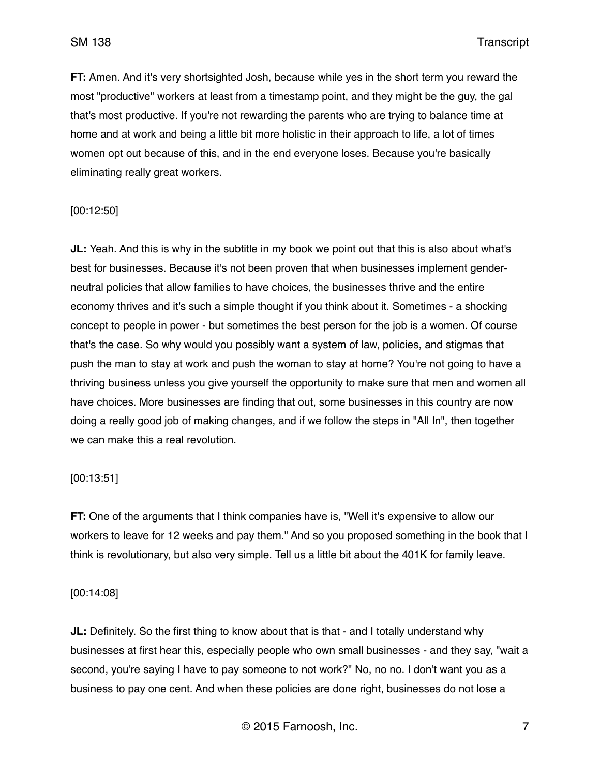**FT:** Amen. And it's very shortsighted Josh, because while yes in the short term you reward the most "productive" workers at least from a timestamp point, and they might be the guy, the gal that's most productive. If you're not rewarding the parents who are trying to balance time at home and at work and being a little bit more holistic in their approach to life, a lot of times women opt out because of this, and in the end everyone loses. Because you're basically eliminating really great workers.

### [00:12:50]

**JL:** Yeah. And this is why in the subtitle in my book we point out that this is also about what's best for businesses. Because it's not been proven that when businesses implement genderneutral policies that allow families to have choices, the businesses thrive and the entire economy thrives and it's such a simple thought if you think about it. Sometimes - a shocking concept to people in power - but sometimes the best person for the job is a women. Of course that's the case. So why would you possibly want a system of law, policies, and stigmas that push the man to stay at work and push the woman to stay at home? You're not going to have a thriving business unless you give yourself the opportunity to make sure that men and women all have choices. More businesses are finding that out, some businesses in this country are now doing a really good job of making changes, and if we follow the steps in "All In", then together we can make this a real revolution.

#### [00:13:51]

**FT:** One of the arguments that I think companies have is, "Well it's expensive to allow our workers to leave for 12 weeks and pay them." And so you proposed something in the book that I think is revolutionary, but also very simple. Tell us a little bit about the 401K for family leave.

#### [00:14:08]

**JL:** Definitely. So the first thing to know about that is that - and I totally understand why businesses at first hear this, especially people who own small businesses - and they say, "wait a second, you're saying I have to pay someone to not work?" No, no no. I don't want you as a business to pay one cent. And when these policies are done right, businesses do not lose a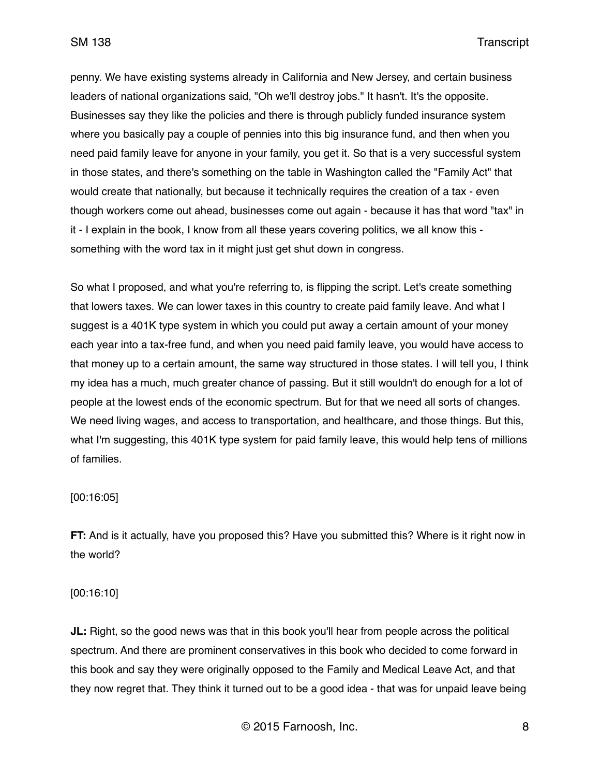penny. We have existing systems already in California and New Jersey, and certain business leaders of national organizations said, "Oh we'll destroy jobs." It hasn't. It's the opposite. Businesses say they like the policies and there is through publicly funded insurance system where you basically pay a couple of pennies into this big insurance fund, and then when you need paid family leave for anyone in your family, you get it. So that is a very successful system in those states, and there's something on the table in Washington called the "Family Act" that would create that nationally, but because it technically requires the creation of a tax - even though workers come out ahead, businesses come out again - because it has that word "tax" in it - I explain in the book, I know from all these years covering politics, we all know this something with the word tax in it might just get shut down in congress.

So what I proposed, and what you're referring to, is flipping the script. Let's create something that lowers taxes. We can lower taxes in this country to create paid family leave. And what I suggest is a 401K type system in which you could put away a certain amount of your money each year into a tax-free fund, and when you need paid family leave, you would have access to that money up to a certain amount, the same way structured in those states. I will tell you, I think my idea has a much, much greater chance of passing. But it still wouldn't do enough for a lot of people at the lowest ends of the economic spectrum. But for that we need all sorts of changes. We need living wages, and access to transportation, and healthcare, and those things. But this, what I'm suggesting, this 401K type system for paid family leave, this would help tens of millions of families.

### [00:16:05]

**FT:** And is it actually, have you proposed this? Have you submitted this? Where is it right now in the world?

### [00:16:10]

**JL:** Right, so the good news was that in this book you'll hear from people across the political spectrum. And there are prominent conservatives in this book who decided to come forward in this book and say they were originally opposed to the Family and Medical Leave Act, and that they now regret that. They think it turned out to be a good idea - that was for unpaid leave being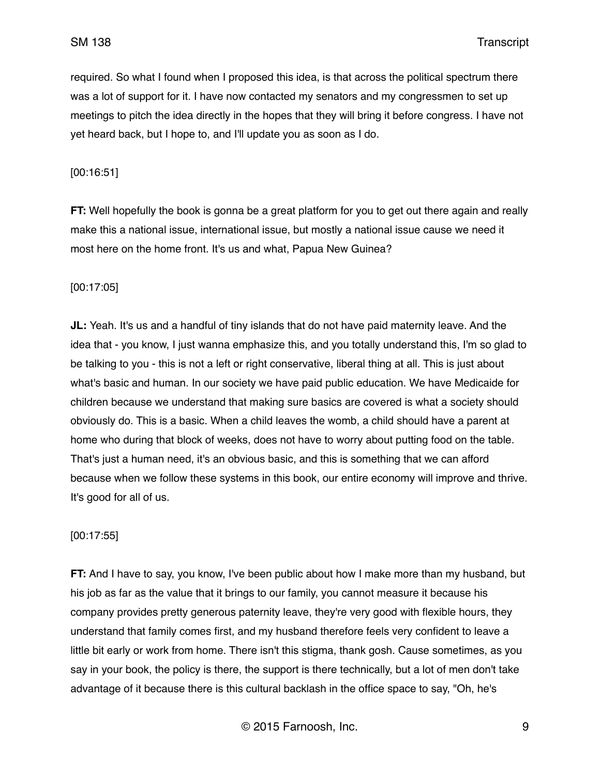required. So what I found when I proposed this idea, is that across the political spectrum there was a lot of support for it. I have now contacted my senators and my congressmen to set up meetings to pitch the idea directly in the hopes that they will bring it before congress. I have not yet heard back, but I hope to, and I'll update you as soon as I do.

[00:16:51]

**FT:** Well hopefully the book is gonna be a great platform for you to get out there again and really make this a national issue, international issue, but mostly a national issue cause we need it most here on the home front. It's us and what, Papua New Guinea?

[00:17:05]

**JL:** Yeah. It's us and a handful of tiny islands that do not have paid maternity leave. And the idea that - you know, I just wanna emphasize this, and you totally understand this, I'm so glad to be talking to you - this is not a left or right conservative, liberal thing at all. This is just about what's basic and human. In our society we have paid public education. We have Medicaide for children because we understand that making sure basics are covered is what a society should obviously do. This is a basic. When a child leaves the womb, a child should have a parent at home who during that block of weeks, does not have to worry about putting food on the table. That's just a human need, it's an obvious basic, and this is something that we can afford because when we follow these systems in this book, our entire economy will improve and thrive. It's good for all of us.

[00:17:55]

**FT:** And I have to say, you know, I've been public about how I make more than my husband, but his job as far as the value that it brings to our family, you cannot measure it because his company provides pretty generous paternity leave, they're very good with flexible hours, they understand that family comes first, and my husband therefore feels very confident to leave a little bit early or work from home. There isn't this stigma, thank gosh. Cause sometimes, as you say in your book, the policy is there, the support is there technically, but a lot of men don't take advantage of it because there is this cultural backlash in the office space to say, "Oh, he's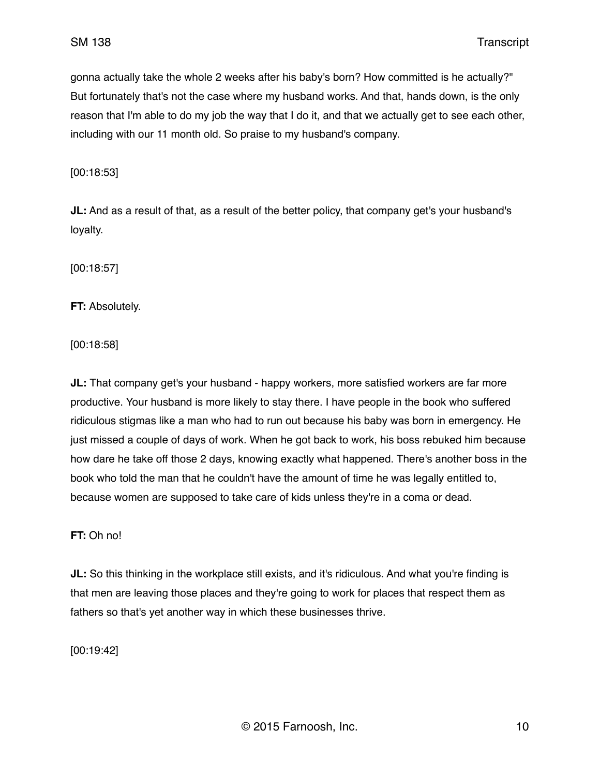gonna actually take the whole 2 weeks after his baby's born? How committed is he actually?" But fortunately that's not the case where my husband works. And that, hands down, is the only reason that I'm able to do my job the way that I do it, and that we actually get to see each other, including with our 11 month old. So praise to my husband's company.

[00:18:53]

**JL:** And as a result of that, as a result of the better policy, that company get's your husband's loyalty.

[00:18:57]

**FT:** Absolutely.

[00:18:58]

**JL:** That company get's your husband - happy workers, more satisfied workers are far more productive. Your husband is more likely to stay there. I have people in the book who suffered ridiculous stigmas like a man who had to run out because his baby was born in emergency. He just missed a couple of days of work. When he got back to work, his boss rebuked him because how dare he take off those 2 days, knowing exactly what happened. There's another boss in the book who told the man that he couldn't have the amount of time he was legally entitled to, because women are supposed to take care of kids unless they're in a coma or dead.

#### **FT:** Oh no!

**JL:** So this thinking in the workplace still exists, and it's ridiculous. And what you're finding is that men are leaving those places and they're going to work for places that respect them as fathers so that's yet another way in which these businesses thrive.

[00:19:42]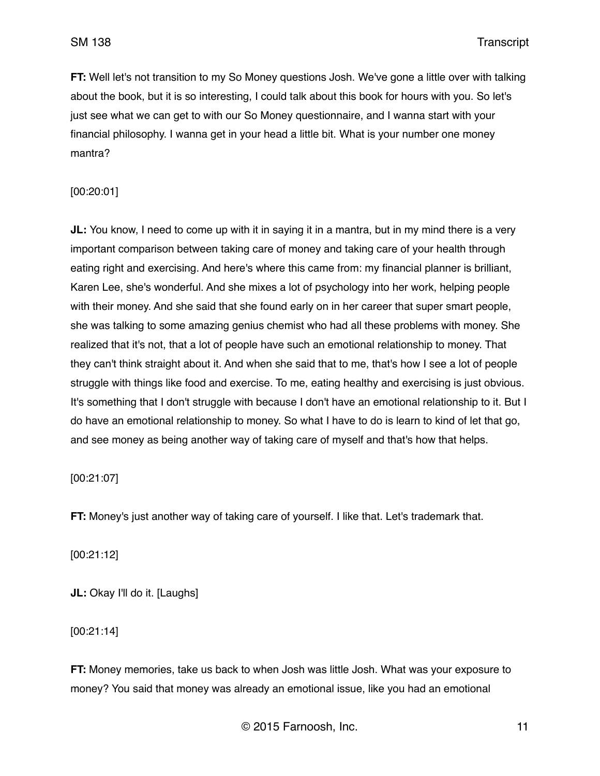**FT:** Well let's not transition to my So Money questions Josh. We've gone a little over with talking about the book, but it is so interesting, I could talk about this book for hours with you. So let's just see what we can get to with our So Money questionnaire, and I wanna start with your financial philosophy. I wanna get in your head a little bit. What is your number one money mantra?

### [00:20:01]

**JL:** You know, I need to come up with it in saying it in a mantra, but in my mind there is a very important comparison between taking care of money and taking care of your health through eating right and exercising. And here's where this came from: my financial planner is brilliant, Karen Lee, she's wonderful. And she mixes a lot of psychology into her work, helping people with their money. And she said that she found early on in her career that super smart people, she was talking to some amazing genius chemist who had all these problems with money. She realized that it's not, that a lot of people have such an emotional relationship to money. That they can't think straight about it. And when she said that to me, that's how I see a lot of people struggle with things like food and exercise. To me, eating healthy and exercising is just obvious. It's something that I don't struggle with because I don't have an emotional relationship to it. But I do have an emotional relationship to money. So what I have to do is learn to kind of let that go, and see money as being another way of taking care of myself and that's how that helps.

#### [00:21:07]

**FT:** Money's just another way of taking care of yourself. I like that. Let's trademark that.

[00:21:12]

**JL:** Okay I'll do it. [Laughs]

[00:21:14]

**FT:** Money memories, take us back to when Josh was little Josh. What was your exposure to money? You said that money was already an emotional issue, like you had an emotional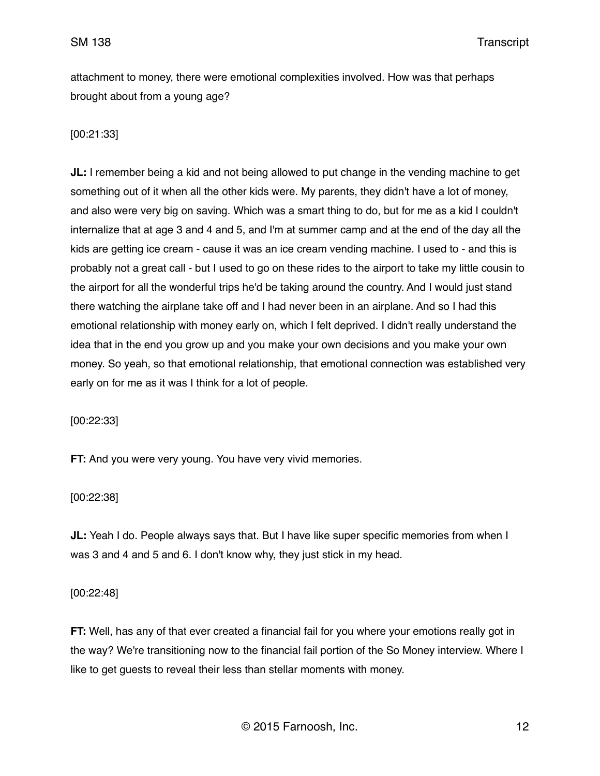attachment to money, there were emotional complexities involved. How was that perhaps brought about from a young age?

# [00:21:33]

**JL:** I remember being a kid and not being allowed to put change in the vending machine to get something out of it when all the other kids were. My parents, they didn't have a lot of money, and also were very big on saving. Which was a smart thing to do, but for me as a kid I couldn't internalize that at age 3 and 4 and 5, and I'm at summer camp and at the end of the day all the kids are getting ice cream - cause it was an ice cream vending machine. I used to - and this is probably not a great call - but I used to go on these rides to the airport to take my little cousin to the airport for all the wonderful trips he'd be taking around the country. And I would just stand there watching the airplane take off and I had never been in an airplane. And so I had this emotional relationship with money early on, which I felt deprived. I didn't really understand the idea that in the end you grow up and you make your own decisions and you make your own money. So yeah, so that emotional relationship, that emotional connection was established very early on for me as it was I think for a lot of people.

[00:22:33]

**FT:** And you were very young. You have very vivid memories.

[00:22:38]

**JL:** Yeah I do. People always says that. But I have like super specific memories from when I was 3 and 4 and 5 and 6. I don't know why, they just stick in my head.

[00:22:48]

**FT:** Well, has any of that ever created a financial fail for you where your emotions really got in the way? We're transitioning now to the financial fail portion of the So Money interview. Where I like to get guests to reveal their less than stellar moments with money.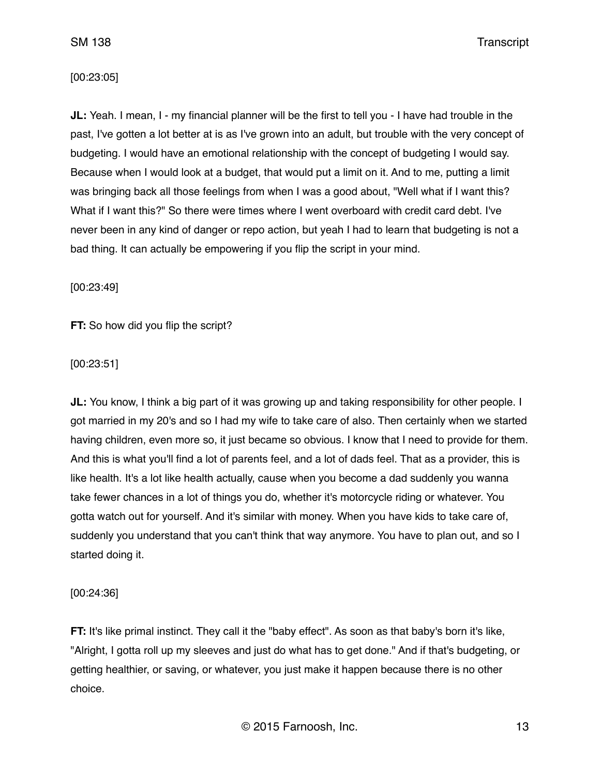### [00:23:05]

**JL:** Yeah. I mean, I - my financial planner will be the first to tell you - I have had trouble in the past, I've gotten a lot better at is as I've grown into an adult, but trouble with the very concept of budgeting. I would have an emotional relationship with the concept of budgeting I would say. Because when I would look at a budget, that would put a limit on it. And to me, putting a limit was bringing back all those feelings from when I was a good about, "Well what if I want this? What if I want this?" So there were times where I went overboard with credit card debt. I've never been in any kind of danger or repo action, but yeah I had to learn that budgeting is not a bad thing. It can actually be empowering if you flip the script in your mind.

[00:23:49]

**FT:** So how did you flip the script?

[00:23:51]

**JL:** You know, I think a big part of it was growing up and taking responsibility for other people. I got married in my 20's and so I had my wife to take care of also. Then certainly when we started having children, even more so, it just became so obvious. I know that I need to provide for them. And this is what you'll find a lot of parents feel, and a lot of dads feel. That as a provider, this is like health. It's a lot like health actually, cause when you become a dad suddenly you wanna take fewer chances in a lot of things you do, whether it's motorcycle riding or whatever. You gotta watch out for yourself. And it's similar with money. When you have kids to take care of, suddenly you understand that you can't think that way anymore. You have to plan out, and so I started doing it.

[00:24:36]

**FT:** It's like primal instinct. They call it the "baby effect". As soon as that baby's born it's like, "Alright, I gotta roll up my sleeves and just do what has to get done." And if that's budgeting, or getting healthier, or saving, or whatever, you just make it happen because there is no other choice.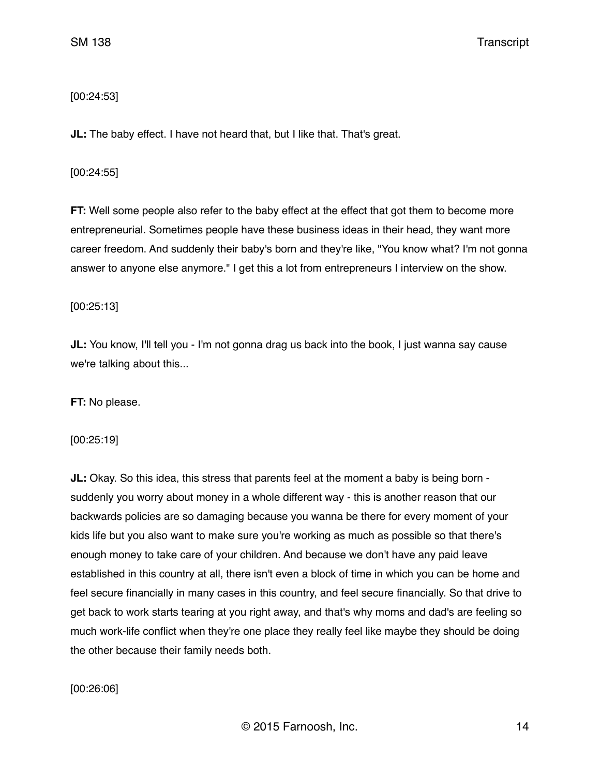# [00:24:53]

**JL:** The baby effect. I have not heard that, but I like that. That's great.

## [00:24:55]

**FT:** Well some people also refer to the baby effect at the effect that got them to become more entrepreneurial. Sometimes people have these business ideas in their head, they want more career freedom. And suddenly their baby's born and they're like, "You know what? I'm not gonna answer to anyone else anymore." I get this a lot from entrepreneurs I interview on the show.

[00:25:13]

**JL:** You know, I'll tell you - I'm not gonna drag us back into the book, I just wanna say cause we're talking about this...

**FT:** No please.

[00:25:19]

**JL:** Okay. So this idea, this stress that parents feel at the moment a baby is being born suddenly you worry about money in a whole different way - this is another reason that our backwards policies are so damaging because you wanna be there for every moment of your kids life but you also want to make sure you're working as much as possible so that there's enough money to take care of your children. And because we don't have any paid leave established in this country at all, there isn't even a block of time in which you can be home and feel secure financially in many cases in this country, and feel secure financially. So that drive to get back to work starts tearing at you right away, and that's why moms and dad's are feeling so much work-life conflict when they're one place they really feel like maybe they should be doing the other because their family needs both.

# [00:26:06]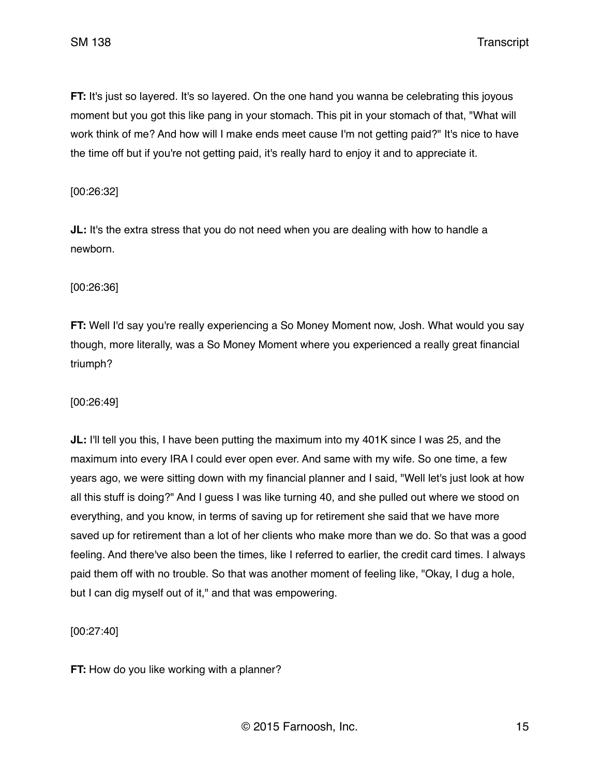**FT:** It's just so layered. It's so layered. On the one hand you wanna be celebrating this joyous moment but you got this like pang in your stomach. This pit in your stomach of that, "What will work think of me? And how will I make ends meet cause I'm not getting paid?" It's nice to have the time off but if you're not getting paid, it's really hard to enjoy it and to appreciate it.

[00:26:32]

**JL:** It's the extra stress that you do not need when you are dealing with how to handle a newborn.

[00:26:36]

**FT:** Well I'd say you're really experiencing a So Money Moment now, Josh. What would you say though, more literally, was a So Money Moment where you experienced a really great financial triumph?

[00:26:49]

**JL:** I'll tell you this, I have been putting the maximum into my 401K since I was 25, and the maximum into every IRA I could ever open ever. And same with my wife. So one time, a few years ago, we were sitting down with my financial planner and I said, "Well let's just look at how all this stuff is doing?" And I guess I was like turning 40, and she pulled out where we stood on everything, and you know, in terms of saving up for retirement she said that we have more saved up for retirement than a lot of her clients who make more than we do. So that was a good feeling. And there've also been the times, like I referred to earlier, the credit card times. I always paid them off with no trouble. So that was another moment of feeling like, "Okay, I dug a hole, but I can dig myself out of it," and that was empowering.

[00:27:40]

**FT:** How do you like working with a planner?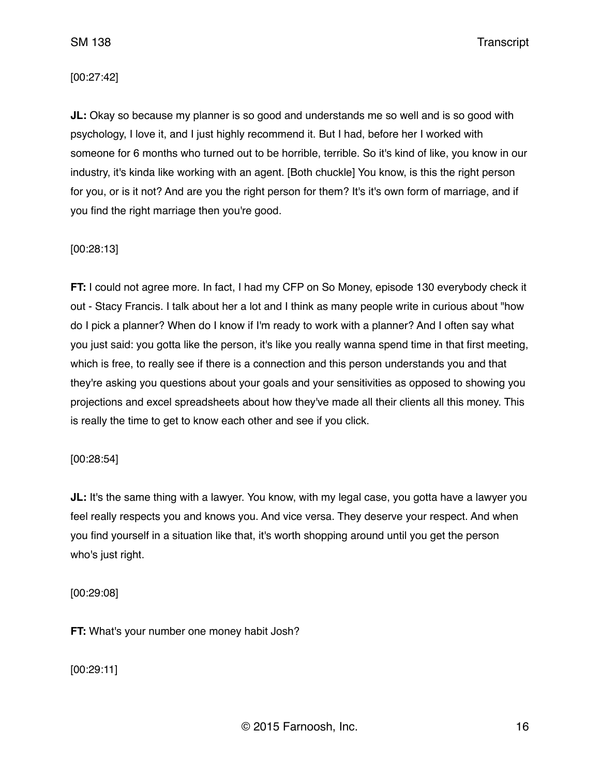## [00:27:42]

**JL:** Okay so because my planner is so good and understands me so well and is so good with psychology, I love it, and I just highly recommend it. But I had, before her I worked with someone for 6 months who turned out to be horrible, terrible. So it's kind of like, you know in our industry, it's kinda like working with an agent. [Both chuckle] You know, is this the right person for you, or is it not? And are you the right person for them? It's it's own form of marriage, and if you find the right marriage then you're good.

## [00:28:13]

**FT:** I could not agree more. In fact, I had my CFP on So Money, episode 130 everybody check it out - Stacy Francis. I talk about her a lot and I think as many people write in curious about "how do I pick a planner? When do I know if I'm ready to work with a planner? And I often say what you just said: you gotta like the person, it's like you really wanna spend time in that first meeting, which is free, to really see if there is a connection and this person understands you and that they're asking you questions about your goals and your sensitivities as opposed to showing you projections and excel spreadsheets about how they've made all their clients all this money. This is really the time to get to know each other and see if you click.

[00:28:54]

**JL:** It's the same thing with a lawyer. You know, with my legal case, you gotta have a lawyer you feel really respects you and knows you. And vice versa. They deserve your respect. And when you find yourself in a situation like that, it's worth shopping around until you get the person who's just right.

[00:29:08]

**FT:** What's your number one money habit Josh?

[00:29:11]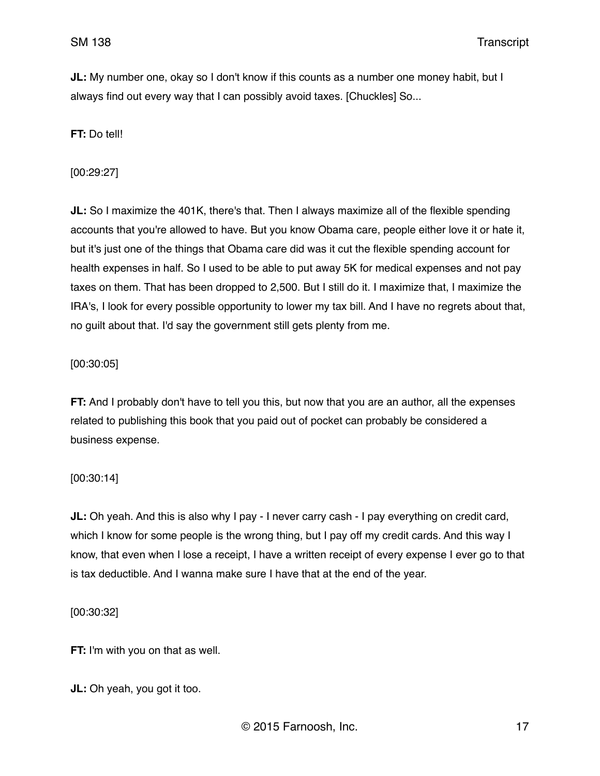**JL:** My number one, okay so I don't know if this counts as a number one money habit, but I always find out every way that I can possibly avoid taxes. [Chuckles] So...

**FT:** Do tell!

[00:29:27]

**JL:** So I maximize the 401K, there's that. Then I always maximize all of the flexible spending accounts that you're allowed to have. But you know Obama care, people either love it or hate it, but it's just one of the things that Obama care did was it cut the flexible spending account for health expenses in half. So I used to be able to put away 5K for medical expenses and not pay taxes on them. That has been dropped to 2,500. But I still do it. I maximize that, I maximize the IRA's, I look for every possible opportunity to lower my tax bill. And I have no regrets about that, no guilt about that. I'd say the government still gets plenty from me.

## [00:30:05]

**FT:** And I probably don't have to tell you this, but now that you are an author, all the expenses related to publishing this book that you paid out of pocket can probably be considered a business expense.

## [00:30:14]

**JL:** Oh yeah. And this is also why I pay - I never carry cash - I pay everything on credit card, which I know for some people is the wrong thing, but I pay off my credit cards. And this way I know, that even when I lose a receipt, I have a written receipt of every expense I ever go to that is tax deductible. And I wanna make sure I have that at the end of the year.

[00:30:32]

**FT:** I'm with you on that as well.

**JL:** Oh yeah, you got it too.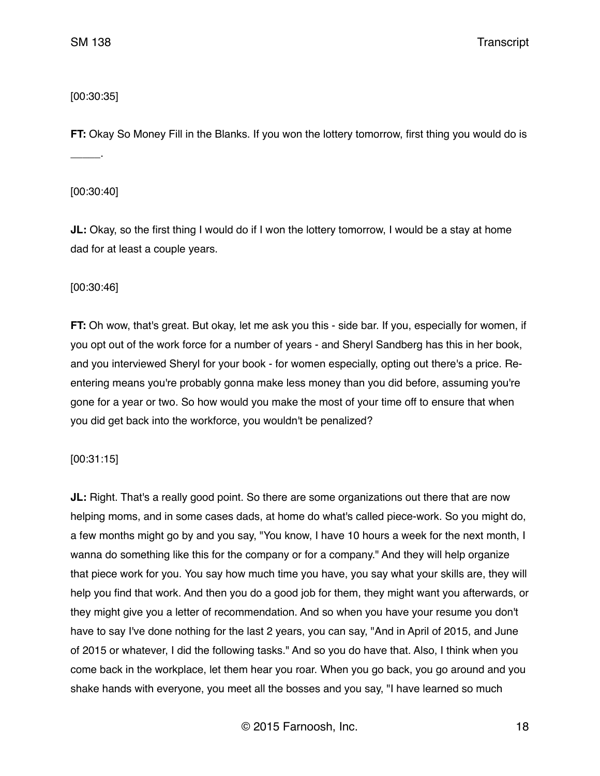# [00:30:35]

**FT:** Okay So Money Fill in the Blanks. If you won the lottery tomorrow, first thing you would do is \_\_\_\_\_.

[00:30:40]

**JL:** Okay, so the first thing I would do if I won the lottery tomorrow, I would be a stay at home dad for at least a couple years.

[00:30:46]

**FT:** Oh wow, that's great. But okay, let me ask you this - side bar. If you, especially for women, if you opt out of the work force for a number of years - and Sheryl Sandberg has this in her book, and you interviewed Sheryl for your book - for women especially, opting out there's a price. Reentering means you're probably gonna make less money than you did before, assuming you're gone for a year or two. So how would you make the most of your time off to ensure that when you did get back into the workforce, you wouldn't be penalized?

[00:31:15]

**JL:** Right. That's a really good point. So there are some organizations out there that are now helping moms, and in some cases dads, at home do what's called piece-work. So you might do, a few months might go by and you say, "You know, I have 10 hours a week for the next month, I wanna do something like this for the company or for a company." And they will help organize that piece work for you. You say how much time you have, you say what your skills are, they will help you find that work. And then you do a good job for them, they might want you afterwards, or they might give you a letter of recommendation. And so when you have your resume you don't have to say I've done nothing for the last 2 years, you can say, "And in April of 2015, and June of 2015 or whatever, I did the following tasks." And so you do have that. Also, I think when you come back in the workplace, let them hear you roar. When you go back, you go around and you shake hands with everyone, you meet all the bosses and you say, "I have learned so much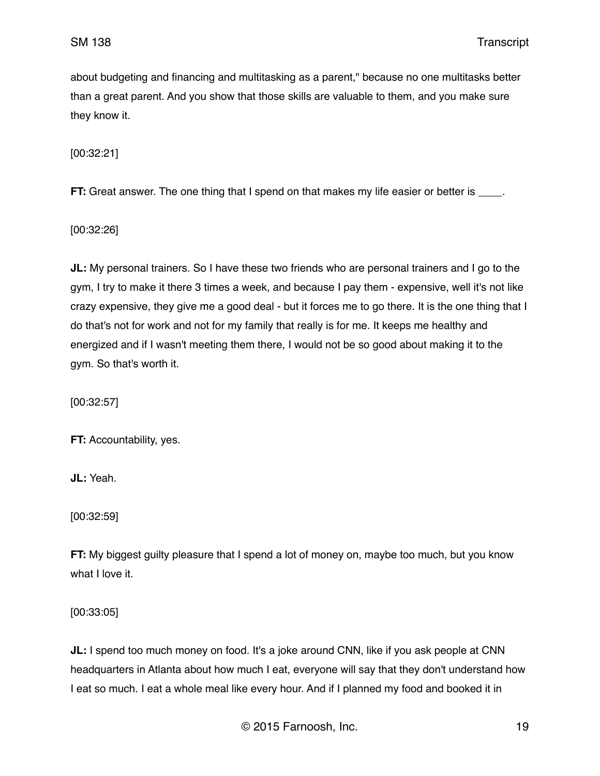about budgeting and financing and multitasking as a parent," because no one multitasks better than a great parent. And you show that those skills are valuable to them, and you make sure they know it.

[00:32:21]

**FT:** Great answer. The one thing that I spend on that makes my life easier or better is \_\_\_\_.

[00:32:26]

**JL:** My personal trainers. So I have these two friends who are personal trainers and I go to the gym, I try to make it there 3 times a week, and because I pay them - expensive, well it's not like crazy expensive, they give me a good deal - but it forces me to go there. It is the one thing that I do that's not for work and not for my family that really is for me. It keeps me healthy and energized and if I wasn't meeting them there, I would not be so good about making it to the gym. So that's worth it.

[00:32:57]

**FT:** Accountability, yes.

**JL:** Yeah.

[00:32:59]

**FT:** My biggest guilty pleasure that I spend a lot of money on, maybe too much, but you know what I love it.

[00:33:05]

**JL:** I spend too much money on food. It's a joke around CNN, like if you ask people at CNN headquarters in Atlanta about how much I eat, everyone will say that they don't understand how I eat so much. I eat a whole meal like every hour. And if I planned my food and booked it in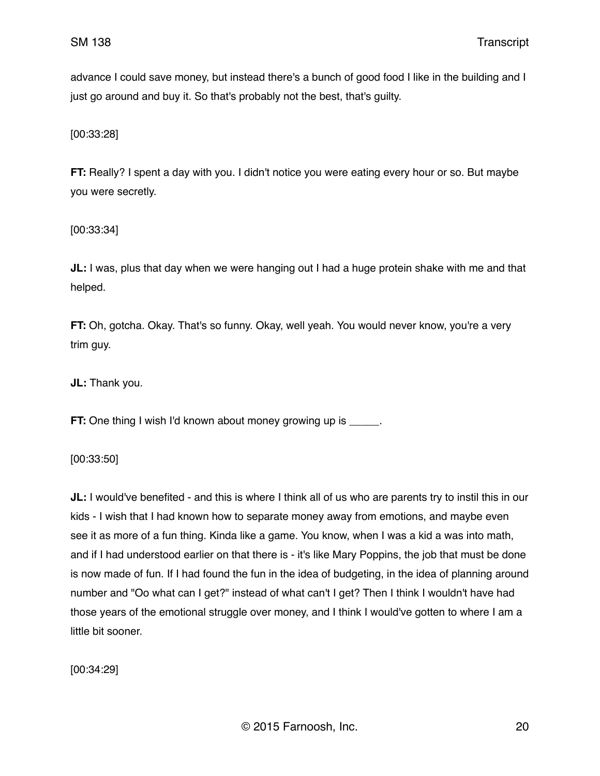advance I could save money, but instead there's a bunch of good food I like in the building and I just go around and buy it. So that's probably not the best, that's guilty.

[00:33:28]

**FT:** Really? I spent a day with you. I didn't notice you were eating every hour or so. But maybe you were secretly.

[00:33:34]

**JL:** I was, plus that day when we were hanging out I had a huge protein shake with me and that helped.

**FT:** Oh, gotcha. Okay. That's so funny. Okay, well yeah. You would never know, you're a very trim guy.

**JL:** Thank you.

**FT:** One thing I wish I'd known about money growing up is  $\blacksquare$ .

[00:33:50]

**JL:** I would've benefited - and this is where I think all of us who are parents try to instil this in our kids - I wish that I had known how to separate money away from emotions, and maybe even see it as more of a fun thing. Kinda like a game. You know, when I was a kid a was into math, and if I had understood earlier on that there is - it's like Mary Poppins, the job that must be done is now made of fun. If I had found the fun in the idea of budgeting, in the idea of planning around number and "Oo what can I get?" instead of what can't I get? Then I think I wouldn't have had those years of the emotional struggle over money, and I think I would've gotten to where I am a little bit sooner.

[00:34:29]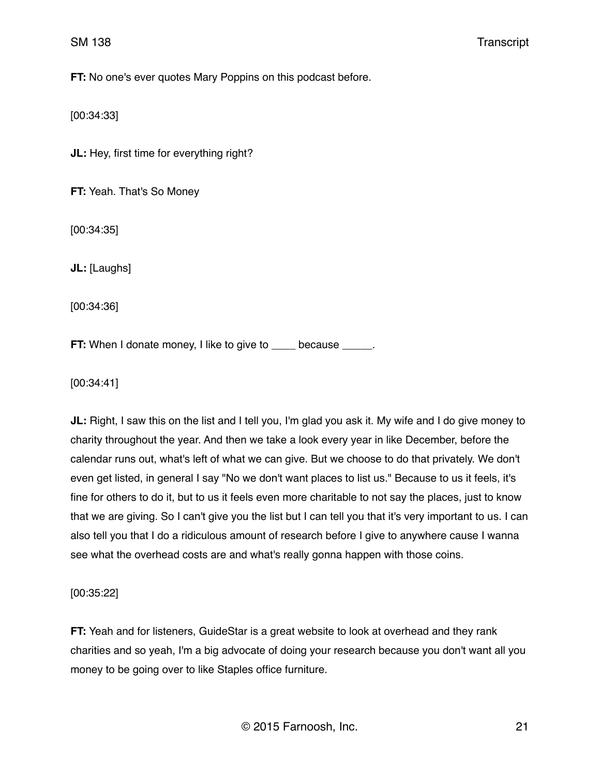**FT:** No one's ever quotes Mary Poppins on this podcast before.

[00:34:33]

**JL:** Hey, first time for everything right?

**FT:** Yeah. That's So Money

[00:34:35]

**JL:** [Laughs]

[00:34:36]

**FT:** When I donate money, I like to give to \_\_\_\_ because \_\_\_\_\_.

[00:34:41]

**JL:** Right, I saw this on the list and I tell you, I'm glad you ask it. My wife and I do give money to charity throughout the year. And then we take a look every year in like December, before the calendar runs out, what's left of what we can give. But we choose to do that privately. We don't even get listed, in general I say "No we don't want places to list us." Because to us it feels, it's fine for others to do it, but to us it feels even more charitable to not say the places, just to know that we are giving. So I can't give you the list but I can tell you that it's very important to us. I can also tell you that I do a ridiculous amount of research before I give to anywhere cause I wanna see what the overhead costs are and what's really gonna happen with those coins.

[00:35:22]

**FT:** Yeah and for listeners, GuideStar is a great website to look at overhead and they rank charities and so yeah, I'm a big advocate of doing your research because you don't want all you money to be going over to like Staples office furniture.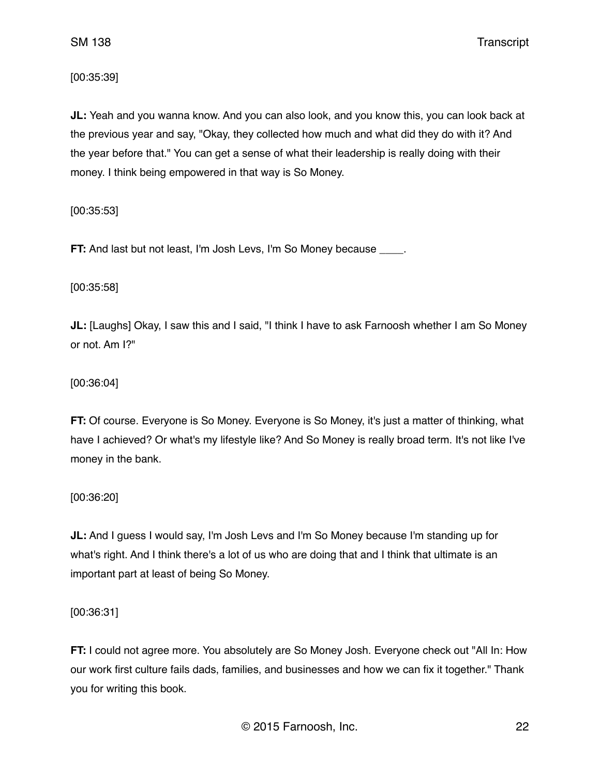[00:35:39]

**JL:** Yeah and you wanna know. And you can also look, and you know this, you can look back at the previous year and say, "Okay, they collected how much and what did they do with it? And the year before that." You can get a sense of what their leadership is really doing with their money. I think being empowered in that way is So Money.

[00:35:53]

**FT:** And last but not least, I'm Josh Levs, I'm So Money because .

[00:35:58]

**JL:** [Laughs] Okay, I saw this and I said, "I think I have to ask Farnoosh whether I am So Money or not. Am I?"

[00:36:04]

**FT:** Of course. Everyone is So Money. Everyone is So Money, it's just a matter of thinking, what have I achieved? Or what's my lifestyle like? And So Money is really broad term. It's not like I've money in the bank.

[00:36:20]

**JL:** And I guess I would say, I'm Josh Levs and I'm So Money because I'm standing up for what's right. And I think there's a lot of us who are doing that and I think that ultimate is an important part at least of being So Money.

[00:36:31]

**FT:** I could not agree more. You absolutely are So Money Josh. Everyone check out "All In: How our work first culture fails dads, families, and businesses and how we can fix it together." Thank you for writing this book.